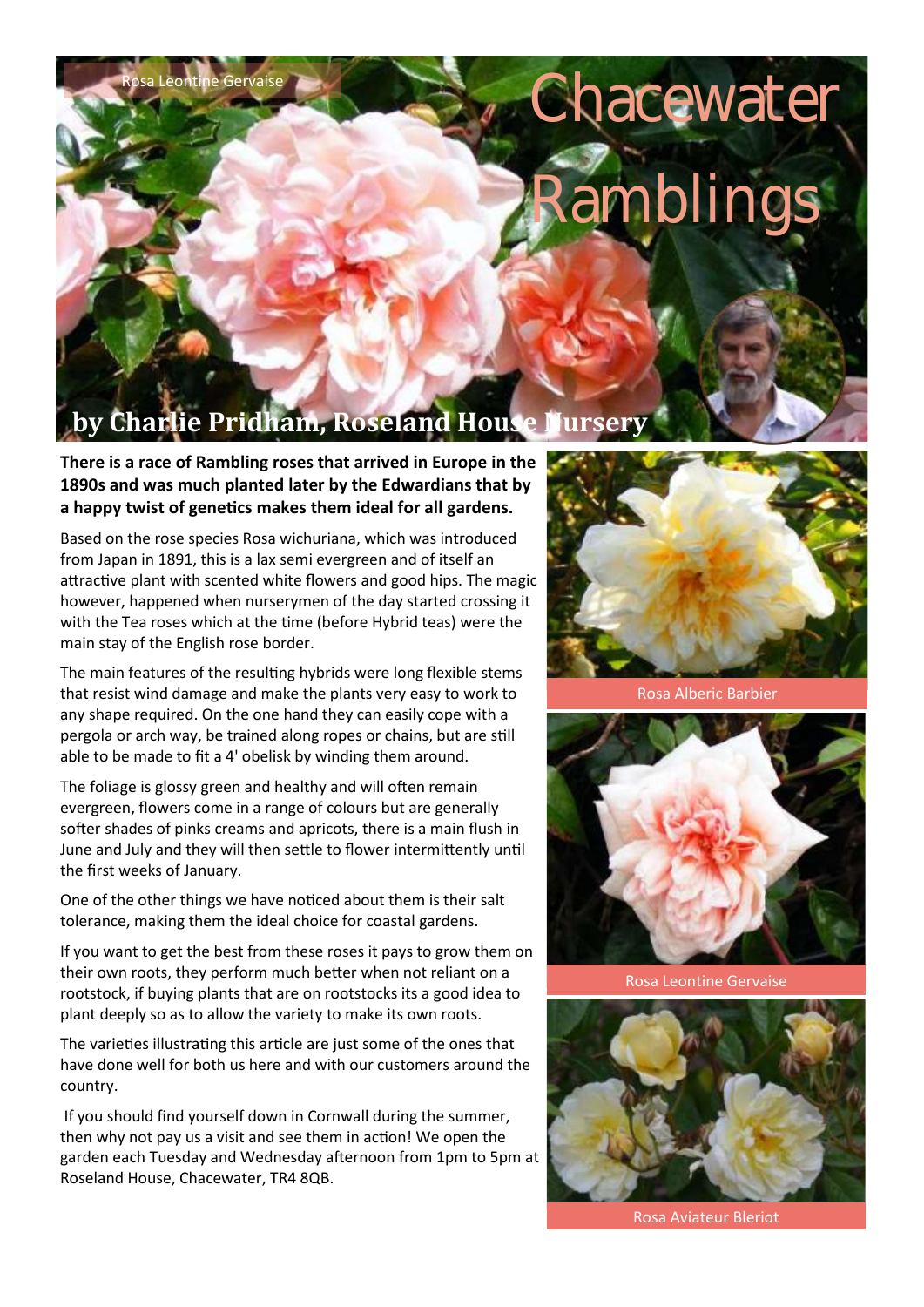## Rosa Leontine Gervaise

## **Chacewater** amblings

## **Charlie Pridham, Roseland House**

**There is a race of Rambling roses that arrived in Europe in the 1890s and was much planted later by the Edwardians that by a happy twist of genetics makes them ideal for all gardens.**

Based on the rose species Rosa wichuriana, which was introduced from Japan in 1891, this is a lax semi evergreen and of itself an attractive plant with scented white flowers and good hips. The magic however, happened when nurserymen of the day started crossing it with the Tea roses which at the time (before Hybrid teas) were the main stay of the English rose border.

The main features of the resulting hybrids were long flexible stems that resist wind damage and make the plants very easy to work to any shape required. On the one hand they can easily cope with a pergola or arch way, be trained along ropes or chains, but are still able to be made to fit a 4' obelisk by winding them around.

The foliage is glossy green and healthy and will often remain evergreen, flowers come in a range of colours but are generally softer shades of pinks creams and apricots, there is a main flush in June and July and they will then settle to flower intermittently until the first weeks of January.

One of the other things we have noticed about them is their salt tolerance, making them the ideal choice for coastal gardens.

If you want to get the best from these roses it pays to grow them on their own roots, they perform much better when not reliant on a rootstock, if buying plants that are on rootstocks its a good idea to plant deeply so as to allow the variety to make its own roots.

The varieties illustrating this article are just some of the ones that have done well for both us here and with our customers around the country.

If you should find yourself down in Cornwall during the summer, then why not pay us a visit and see them in action! We open the garden each Tuesday and Wednesday afternoon from 1pm to 5pm at Roseland House, Chacewater, TR4 8QB.



Rosa Alberic Barbier



Rosa Leontine Gervaise



Rosa Aviateur Bleriot